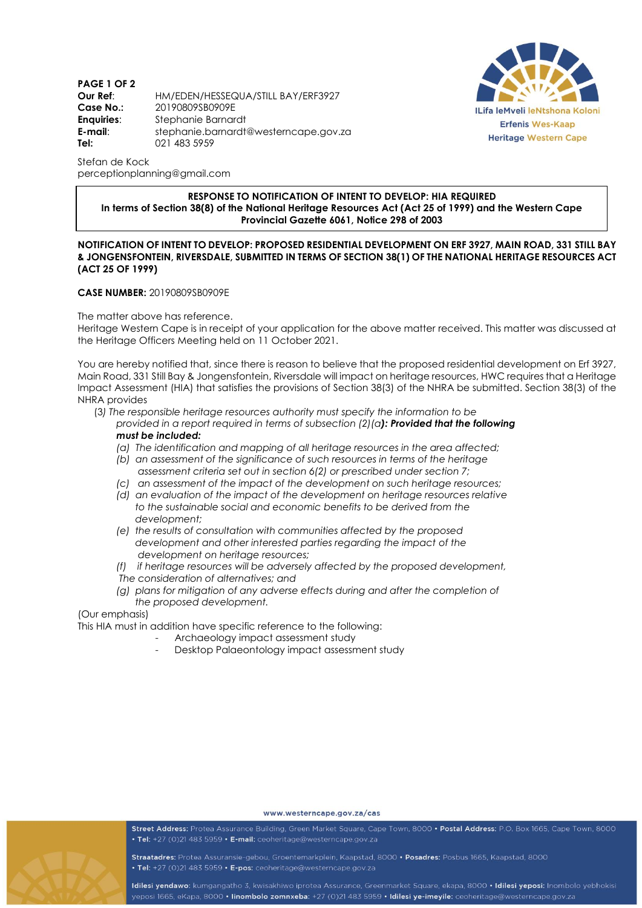**PAGE 1 OF 2 Our Ref**: HM/EDEN/HESSEQUA/STILL BAY/ERF3927 **Case No.:** 20190809SB0909E **Enquiries**: Stephanie Barnardt **E-mail**: stephanie.barnardt@westerncape.gov.za **Tel:** 021 483 5959



Stefan de Kock perceptionplanning@gmail.com

## **RESPONSE TO NOTIFICATION OF INTENT TO DEVELOP: HIA REQUIRED In terms of Section 38(8) of the National Heritage Resources Act (Act 25 of 1999) and the Western Cape Provincial Gazette 6061, Notice 298 of 2003**

## **NOTIFICATION OF INTENT TO DEVELOP: PROPOSED RESIDENTIAL DEVELOPMENT ON ERF 3927, MAIN ROAD, 331 STILL BAY & JONGENSFONTEIN, RIVERSDALE, SUBMITTED IN TERMS OF SECTION 38(1) OF THE NATIONAL HERITAGE RESOURCES ACT (ACT 25 OF 1999)**

## **CASE NUMBER:** 20190809SB0909E

The matter above has reference.

Heritage Western Cape is in receipt of your application for the above matter received. This matter was discussed at the Heritage Officers Meeting held on 11 October 2021.

You are hereby notified that, since there is reason to believe that the proposed residential development on Erf 3927, Main Road, 331 Still Bay & Jongensfontein, Riversdale will impact on heritage resources, HWC requires that a Heritage Impact Assessment (HIA) that satisfies the provisions of Section 38(3) of the NHRA be submitted. Section 38(3) of the NHRA provides

(3*) The responsible heritage resources authority must specify the information to be*

- *provided in a report required in terms of subsection (2)(a): Provided that the following must be included:* 
	- *(a) The identification and mapping of all heritage resources in the area affected;*
	- *(b) an assessment of the significance of such resources in terms of the heritage assessment criteria set out in section 6(2) or prescribed under section 7;*
	- *(c) an assessment of the impact of the development on such heritage resources;*
	- *(d)* an evaluation of the impact of the development on heritage resources relative  *to the sustainable social and economic benefits to be derived from the development;*
	- *(e) the results of consultation with communities affected by the proposed development and other interested parties regarding the impact of the development on heritage resources;*
	- *(f) if heritage resources will be adversely affected by the proposed development,*
	- *The consideration of alternatives; and*
	- *(g) plans for mitigation of any adverse effects during and after the completion of the proposed development.*

## (Our emphasis)

This HIA must in addition have specific reference to the following:

- Archaeology impact assessment study
- Desktop Palaeontology impact assessment study



www.westerncape.gov.za/cas

Street Address: Protea Assurance Building, Green Market Square, Cape Town, 8000 · Postal Address: P.O. Box 1665, Cape Town, 8000 • Tel: +27 (0)21 483 5959 • E-mail: ceoheritage@westerncape.gov.za

Straatadres: Protea Assuransie-gebou, Groentemarkplein, Kaapstad, 8000 · Posadres: Posbus 1665, Kaapstad, 8000 · Tel: +27 (0)21 483 5959 · E-pos: ceoheritage@westerncape.gov.za

Idilesi yendawo: kumgangatho 3, kwisakhiwo iprotea Assurance, Greenmarket Square, ekapa, 8000 · Idilesi yeposi: Inombolo yebhokisi yeposi 1665, eKapa, 8000 · linombolo zomnxeba: +27 (0)21 483 5959 · Idilesi ye-imeyile: ceoheritage@westerncape.gov.za